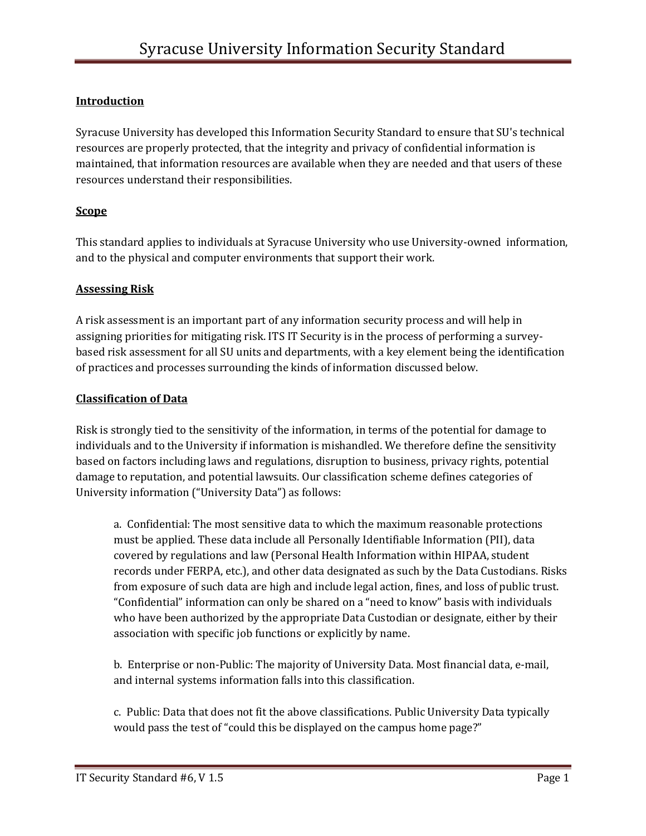# **Introduction**

Syracuse University has developed this Information Security Standard to ensure that SU's technical resources are properly protected, that the integrity and privacy of confidential information is maintained, that information resources are available when they are needed and that users of these resources understand their responsibilities.

## **Scope**

This standard applies to individuals at Syracuse University who use University-owned information, and to the physical and computer environments that support their work.

### **Assessing Risk**

A risk assessment is an important part of any information security process and will help in assigning priorities for mitigating risk. ITS IT Security is in the process of performing a surveybased risk assessment for all SU units and departments, with a key element being the identification of practices and processes surrounding the kinds of information discussed below.

### **Classification of Data**

Risk is strongly tied to the sensitivity of the information, in terms of the potential for damage to individuals and to the University if information is mishandled. We therefore define the sensitivity based on factors including laws and regulations, disruption to business, privacy rights, potential damage to reputation, and potential lawsuits. Our classification scheme defines categories of University information ("University Data") as follows:

a. Confidential: The most sensitive data to which the maximum reasonable protections must be applied. These data include all Personally Identifiable Information (PII), data covered by regulations and law (Personal Health Information within HIPAA, student records under FERPA, etc.), and other data designated as such by the Data Custodians. Risks from exposure of such data are high and include legal action, fines, and loss of public trust. "Confidential" information can only be shared on a "need to know" basis with individuals who have been authorized by the appropriate Data Custodian or designate, either by their association with specific job functions or explicitly by name.

b. Enterprise or non-Public: The majority of University Data. Most financial data, e-mail, and internal systems information falls into this classification.

c. Public: Data that does not fit the above classifications. Public University Data typically would pass the test of "could this be displayed on the campus home page?"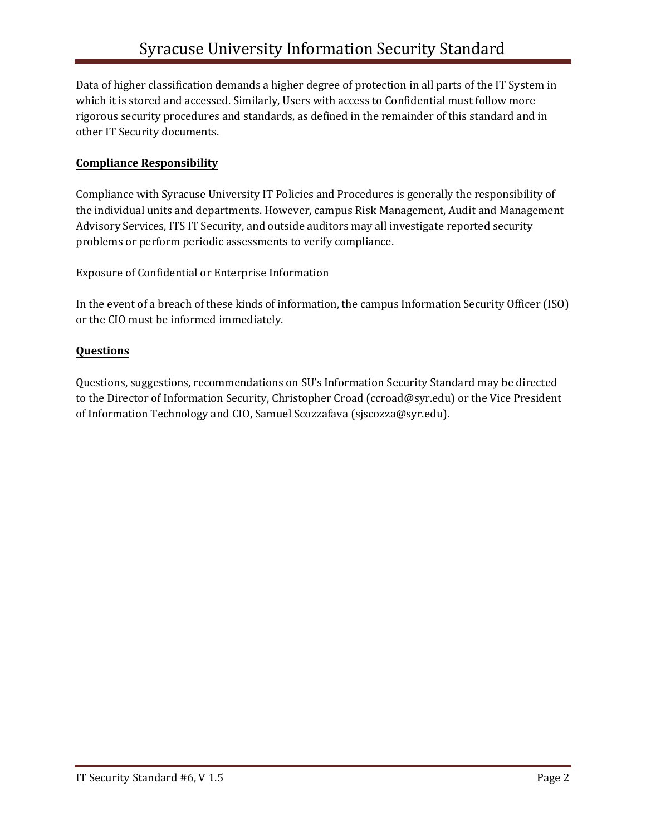Data of higher classification demands a higher degree of protection in all parts of the IT System in which it is stored and accessed. Similarly, Users with access to Confidential must follow more rigorous security procedures and standards, as defined in the remainder of this standard and in other IT Security documents.

# **Compliance Responsibility**

Compliance with Syracuse University IT Policies and Procedures is generally the responsibility of the individual units and departments. However, campus Risk Management, Audit and Management Advisory Services, ITS IT Security, and outside auditors may all investigate reported security problems or perform periodic assessments to verify compliance.

Exposure of Confidential or Enterprise Information

In the event of a breach of these kinds of information, the campus Information Security Officer (ISO) or the CIO must be informed immediately.

# **Questions**

Questions, suggestions, recommendations on SU's Information Security Standard may be directed to the Director of Information Security, Christopher Croad (ccroad@syr.edu) or the Vice President of Information Technology and CIO, Samuel Scozzafava (sjscozza@syr.edu).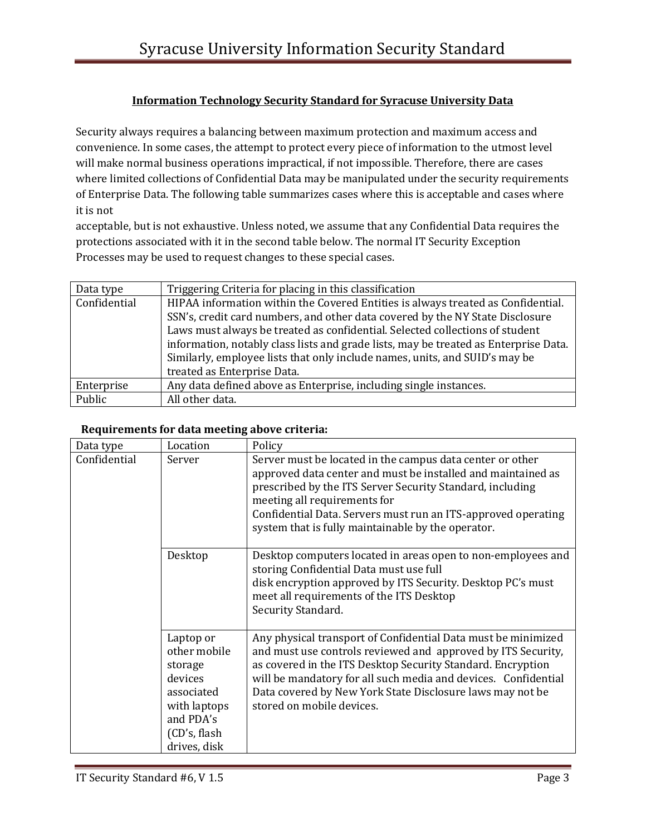### **Information Technology Security Standard for Syracuse University Data**

Security always requires a balancing between maximum protection and maximum access and convenience. In some cases, the attempt to protect every piece of information to the utmost level will make normal business operations impractical, if not impossible. Therefore, there are cases where limited collections of Confidential Data may be manipulated under the security requirements of Enterprise Data. The following table summarizes cases where this is acceptable and cases where it is not

acceptable, but is not exhaustive. Unless noted, we assume that any Confidential Data requires the protections associated with it in the second table below. The normal IT Security Exception Processes may be used to request changes to these special cases.

| Data type    | Triggering Criteria for placing in this classification                               |  |  |
|--------------|--------------------------------------------------------------------------------------|--|--|
| Confidential | HIPAA information within the Covered Entities is always treated as Confidential.     |  |  |
|              | SSN's, credit card numbers, and other data covered by the NY State Disclosure        |  |  |
|              | Laws must always be treated as confidential. Selected collections of student         |  |  |
|              | information, notably class lists and grade lists, may be treated as Enterprise Data. |  |  |
|              | Similarly, employee lists that only include names, units, and SUID's may be          |  |  |
|              | treated as Enterprise Data.                                                          |  |  |
| Enterprise   | Any data defined above as Enterprise, including single instances.                    |  |  |
| Public       | All other data.                                                                      |  |  |

#### **Requirements for data meeting above criteria:**

| Data type    | Location                                                                                                                   | Policy                                                                                                                                                                                                                                                                                                                                                   |
|--------------|----------------------------------------------------------------------------------------------------------------------------|----------------------------------------------------------------------------------------------------------------------------------------------------------------------------------------------------------------------------------------------------------------------------------------------------------------------------------------------------------|
| Confidential | Server                                                                                                                     | Server must be located in the campus data center or other<br>approved data center and must be installed and maintained as<br>prescribed by the ITS Server Security Standard, including<br>meeting all requirements for<br>Confidential Data. Servers must run an ITS-approved operating<br>system that is fully maintainable by the operator.            |
|              | Desktop                                                                                                                    | Desktop computers located in areas open to non-employees and<br>storing Confidential Data must use full<br>disk encryption approved by ITS Security. Desktop PC's must<br>meet all requirements of the ITS Desktop<br>Security Standard.                                                                                                                 |
|              | Laptop or<br>other mobile<br>storage<br>devices<br>associated<br>with laptops<br>and PDA's<br>(CD's, flash<br>drives, disk | Any physical transport of Confidential Data must be minimized<br>and must use controls reviewed and approved by ITS Security,<br>as covered in the ITS Desktop Security Standard. Encryption<br>will be mandatory for all such media and devices. Confidential<br>Data covered by New York State Disclosure laws may not be<br>stored on mobile devices. |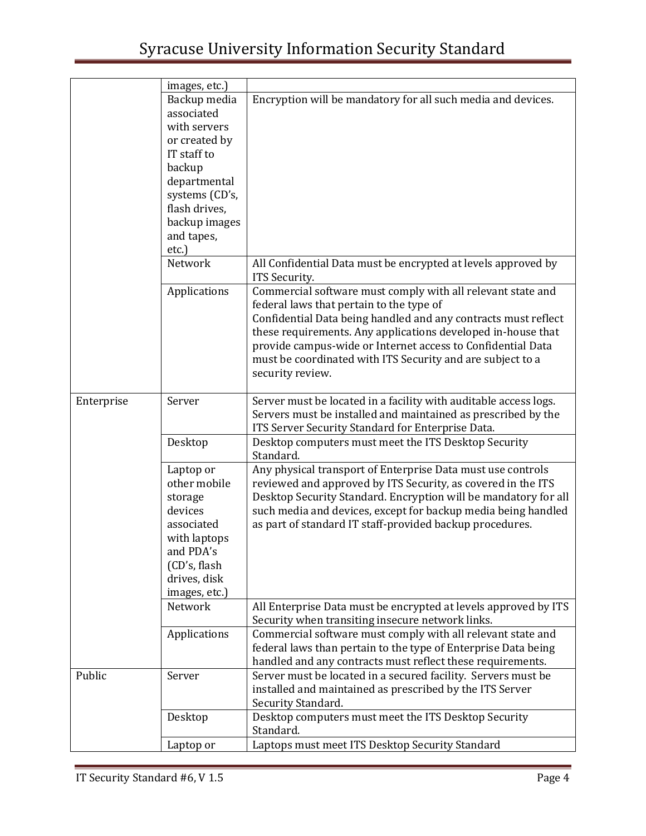|            | images, etc.)  |                                                                  |
|------------|----------------|------------------------------------------------------------------|
|            | Backup media   | Encryption will be mandatory for all such media and devices.     |
|            | associated     |                                                                  |
|            | with servers   |                                                                  |
|            | or created by  |                                                                  |
|            | IT staff to    |                                                                  |
|            | backup         |                                                                  |
|            | departmental   |                                                                  |
|            | systems (CD's, |                                                                  |
|            | flash drives,  |                                                                  |
|            | backup images  |                                                                  |
|            | and tapes,     |                                                                  |
|            | etc.)          |                                                                  |
|            | Network        | All Confidential Data must be encrypted at levels approved by    |
|            |                | ITS Security.                                                    |
|            | Applications   | Commercial software must comply with all relevant state and      |
|            |                | federal laws that pertain to the type of                         |
|            |                | Confidential Data being handled and any contracts must reflect   |
|            |                | these requirements. Any applications developed in-house that     |
|            |                | provide campus-wide or Internet access to Confidential Data      |
|            |                | must be coordinated with ITS Security and are subject to a       |
|            |                | security review.                                                 |
|            |                |                                                                  |
| Enterprise | Server         | Server must be located in a facility with auditable access logs. |
|            |                | Servers must be installed and maintained as prescribed by the    |
|            |                | ITS Server Security Standard for Enterprise Data.                |
|            | Desktop        | Desktop computers must meet the ITS Desktop Security             |
|            |                | Standard.                                                        |
|            | Laptop or      | Any physical transport of Enterprise Data must use controls      |
|            | other mobile   | reviewed and approved by ITS Security, as covered in the ITS     |
|            | storage        | Desktop Security Standard. Encryption will be mandatory for all  |
|            | devices        | such media and devices, except for backup media being handled    |
|            | associated     | as part of standard IT staff-provided backup procedures.         |
|            | with laptops   |                                                                  |
|            | and PDA's      |                                                                  |
|            | (CD's, flash)  |                                                                  |
|            | drives, disk   |                                                                  |
|            | images, etc.)  |                                                                  |
|            | Network        | All Enterprise Data must be encrypted at levels approved by ITS  |
|            |                | Security when transiting insecure network links.                 |
|            | Applications   | Commercial software must comply with all relevant state and      |
|            |                | federal laws than pertain to the type of Enterprise Data being   |
|            |                | handled and any contracts must reflect these requirements.       |
| Public     | Server         | Server must be located in a secured facility. Servers must be    |
|            |                | installed and maintained as prescribed by the ITS Server         |
|            |                | Security Standard.                                               |
|            | Desktop        | Desktop computers must meet the ITS Desktop Security             |
|            |                | Standard.                                                        |
|            | Laptop or      | Laptops must meet ITS Desktop Security Standard                  |